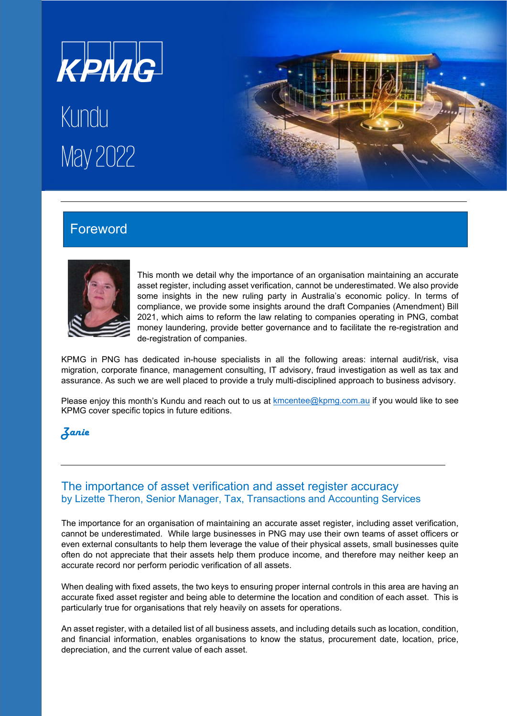

# Kundu May2022



# Foreword



This month we detail why the importance of an organisation maintaining an accurate asset register, including asset verification, cannot be underestimated. We also provide some insights in the new ruling party in Australia's economic policy. In terms of compliance, we provide some insights around the draft Companies (Amendment) Bill 2021, which aims to reform the law relating to companies operating in PNG, combat money laundering, provide better governance and to facilitate the re-registration and de-registration of companies.

KPMG in PNG has dedicated in-house specialists in all the following areas: internal audit/risk, visa migration, corporate finance, management consulting, IT advisory, fraud investigation as well as tax and assurance. As such we are well placed to provide a truly multi-disciplined approach to business advisory.

Please enjoy this month's Kundu and reach out to us at *[kmcentee@kpmg.com.au](mailto:kmcentee@kpmg.com.au)* if you would like to see KPMG cover specific topics in future editions.

# Zanie

## The importance of asset verification and asset register accuracy by Lizette Theron, Senior Manager, Tax, Transactions and Accounting Services

The importance for an organisation of maintaining an accurate asset register, including asset verification, cannot be underestimated. While large businesses in PNG may use their own teams of asset officers or even external consultants to help them leverage the value of their physical assets, small businesses quite often do not appreciate that their assets help them produce income, and therefore may neither keep an accurate record nor perform periodic verification of all assets.

When dealing with fixed assets, the two keys to ensuring proper internal controls in this area are having an accurate fixed asset register and being able to determine the location and condition of each asset. This is particularly true for organisations that rely heavily on assets for operations.

An asset register, with a detailed list of all business assets, and including details such as location, condition, and financial information, enables organisations to know the status, procurement date, location, price, depreciation, and the current value of each asset.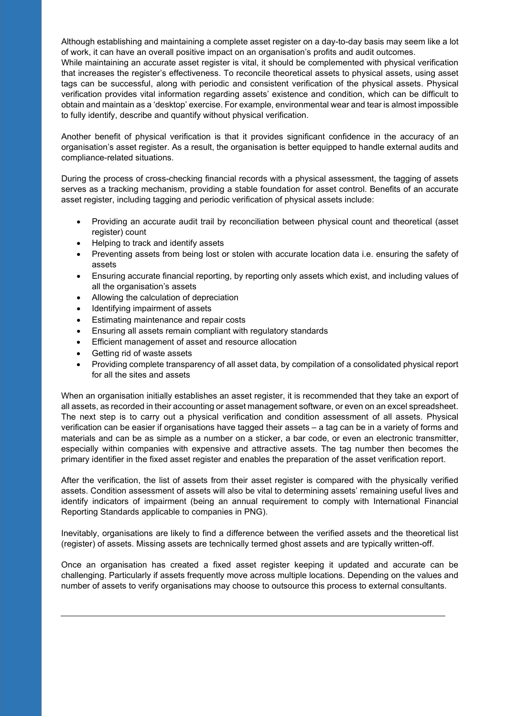Although establishing and maintaining a complete asset register on a day-to-day basis may seem like a lot of work, it can have an overall positive impact on an organisation's profits and audit outcomes.

While maintaining an accurate asset register is vital, it should be complemented with physical verification that increases the register's effectiveness. To reconcile theoretical assets to physical assets, using asset tags can be successful, along with periodic and consistent verification of the physical assets. Physical verification provides vital information regarding assets' existence and condition, which can be difficult to obtain and maintain as a 'desktop' exercise. For example, environmental wear and tear is almost impossible to fully identify, describe and quantify without physical verification.

Another benefit of physical verification is that it provides significant confidence in the accuracy of an organisation's asset register. As a result, the organisation is better equipped to handle external audits and compliance-related situations.

During the process of cross-checking financial records with a physical assessment, the tagging of assets serves as a tracking mechanism, providing a stable foundation for asset control. Benefits of an accurate asset register, including tagging and periodic verification of physical assets include:

- Providing an accurate audit trail by reconciliation between physical count and theoretical (asset register) count
- Helping to track and identify assets
- Preventing assets from being lost or stolen with accurate location data i.e. ensuring the safety of assets
- Ensuring accurate financial reporting, by reporting only assets which exist, and including values of all the organisation's assets
- Allowing the calculation of depreciation
- Identifying impairment of assets
- Estimating maintenance and repair costs
- Ensuring all assets remain compliant with regulatory standards
- Efficient management of asset and resource allocation
- Getting rid of waste assets
- Providing complete transparency of all asset data, by compilation of a consolidated physical report for all the sites and assets

When an organisation initially establishes an asset register, it is recommended that they take an export of all assets, as recorded in their accounting or asset management software, or even on an excel spreadsheet. The next step is to carry out a physical verification and condition assessment of all assets. Physical verification can be easier if organisations have tagged their assets – a tag can be in a variety of forms and materials and can be as simple as a number on a sticker, a bar code, or even an electronic transmitter, especially within companies with expensive and attractive assets. The tag number then becomes the primary identifier in the fixed asset register and enables the preparation of the asset verification report.

After the verification, the list of assets from their asset register is compared with the physically verified assets. Condition assessment of assets will also be vital to determining assets' remaining useful lives and identify indicators of impairment (being an annual requirement to comply with International Financial Reporting Standards applicable to companies in PNG).

Inevitably, organisations are likely to find a difference between the verified assets and the theoretical list (register) of assets. Missing assets are technically termed ghost assets and are typically written-off.

Once an organisation has created a fixed asset register keeping it updated and accurate can be challenging. Particularly if assets frequently move across multiple locations. Depending on the values and number of assets to verify organisations may choose to outsource this process to external consultants.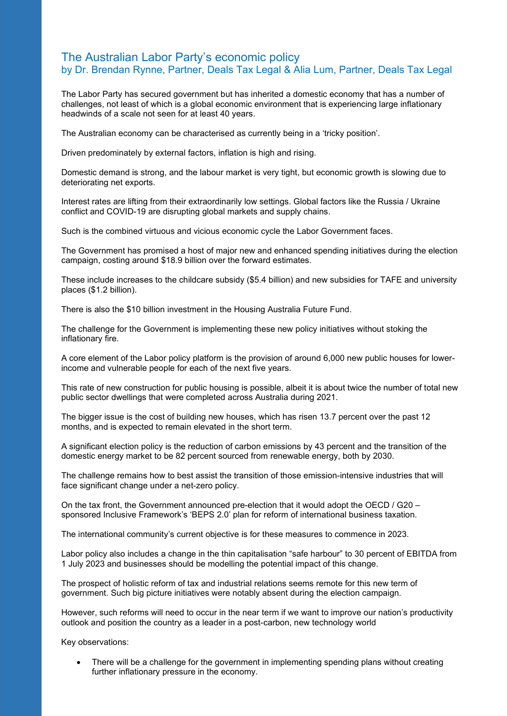#### The Australian Labor Party's economic policy by Dr. Brendan Rynne, Partner, Deals Tax Legal & Alia Lum, Partner, Deals Tax Legal

The Labor Party has secured government but has inherited a domestic economy that has a number of challenges, not least of which is a global economic environment that is experiencing large inflationary headwinds of a scale not seen for at least 40 years.

The Australian economy can be characterised as currently being in a 'tricky position'.

Driven predominately by external factors, inflation is high and rising.

Domestic demand is strong, and the labour market is very tight, but economic growth is slowing due to deteriorating net exports.

Interest rates are lifting from their extraordinarily low settings. Global factors like the Russia / Ukraine conflict and COVID-19 are disrupting global markets and supply chains.

Such is the combined virtuous and vicious economic cycle the Labor Government faces.

The Government has promised a host of major new and enhanced spending initiatives during the election campaign, costing around \$18.9 billion over the forward estimates.

These include increases to the childcare subsidy (\$5.4 billion) and new subsidies for TAFE and university places (\$1.2 billion).

There is also the \$10 billion investment in the Housing Australia Future Fund.

The challenge for the Government is implementing these new policy initiatives without stoking the inflationary fire.

A core element of the Labor policy platform is the provision of around 6,000 new public houses for lowerincome and vulnerable people for each of the next five years.

This rate of new construction for public housing is possible, albeit it is about twice the number of total new public sector dwellings that were completed across Australia during 2021.

The bigger issue is the cost of building new houses, which has risen 13.7 percent over the past 12 months, and is expected to remain elevated in the short term.

A significant election policy is the reduction of carbon emissions by 43 percent and the transition of the domestic energy market to be 82 percent sourced from renewable energy, both by 2030.

The challenge remains how to best assist the transition of those emission-intensive industries that will face significant change under a net-zero policy.

On the tax front, the Government announced pre-election that it would adopt the OECD / G20 – sponsored Inclusive Framework's 'BEPS 2.0' plan for reform of international business taxation.

The international community's current objective is for these measures to commence in 2023.

Labor policy also includes a change in the thin capitalisation "safe harbour" to 30 percent of EBITDA from 1 July 2023 and businesses should be modelling the potential impact of this change.

The prospect of holistic reform of tax and industrial relations seems remote for this new term of government. Such big picture initiatives were notably absent during the election campaign.

However, such reforms will need to occur in the near term if we want to improve our nation's productivity outlook and position the country as a leader in a post-carbon, new technology world

Key observations:

• There will be a challenge for the government in implementing spending plans without creating further inflationary pressure in the economy.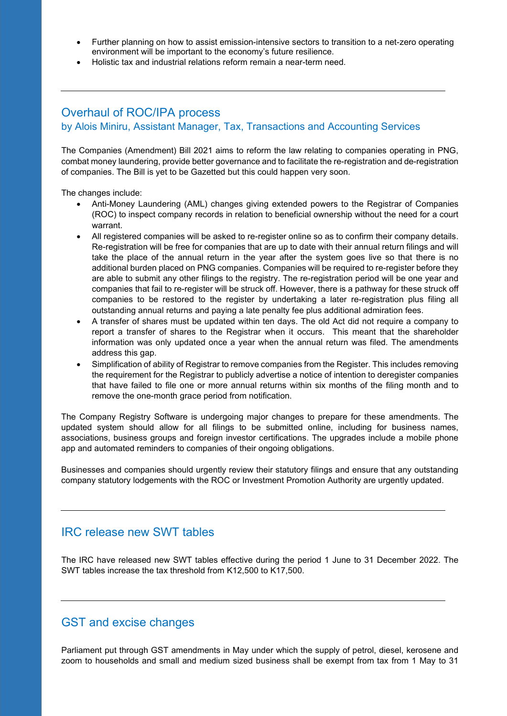- Further planning on how to assist emission-intensive sectors to transition to a net-zero operating environment will be important to the economy's future resilience.
- Holistic tax and industrial relations reform remain a near-term need.

# Overhaul of ROC/IPA process

by Alois Miniru, Assistant Manager, Tax, Transactions and Accounting Services

The Companies (Amendment) Bill 2021 aims to reform the law relating to companies operating in PNG, combat money laundering, provide better governance and to facilitate the re-registration and de-registration of companies. The Bill is yet to be Gazetted but this could happen very soon.

The changes include:

- Anti-Money Laundering (AML) changes giving extended powers to the Registrar of Companies (ROC) to inspect company records in relation to beneficial ownership without the need for a court warrant.
- All registered companies will be asked to re-register online so as to confirm their company details. Re-registration will be free for companies that are up to date with their annual return filings and will take the place of the annual return in the year after the system goes live so that there is no additional burden placed on PNG companies. Companies will be required to re-register before they are able to submit any other filings to the registry. The re-registration period will be one year and companies that fail to re-register will be struck off. However, there is a pathway for these struck off companies to be restored to the register by undertaking a later re-registration plus filing all outstanding annual returns and paying a late penalty fee plus additional admiration fees.
- A transfer of shares must be updated within ten days. The old Act did not require a company to report a transfer of shares to the Registrar when it occurs. This meant that the shareholder information was only updated once a year when the annual return was filed. The amendments address this gap.
- Simplification of ability of Registrar to remove companies from the Register. This includes removing the requirement for the Registrar to publicly advertise a notice of intention to deregister companies that have failed to file one or more annual returns within six months of the filing month and to remove the one-month grace period from notification.

The Company Registry Software is undergoing major changes to prepare for these amendments. The updated system should allow for all filings to be submitted online, including for business names, associations, business groups and foreign investor certifications. The upgrades include a mobile phone app and automated reminders to companies of their ongoing obligations.

Businesses and companies should urgently review their statutory filings and ensure that any outstanding company statutory lodgements with the ROC or Investment Promotion Authority are urgently updated.

## IRC release new SWT tables

The IRC have released new SWT tables effective during the period 1 June to 31 December 2022. The SWT tables increase the tax threshold from K12,500 to K17,500.

# GST and excise changes

Parliament put through GST amendments in May under which the supply of petrol, diesel, kerosene and zoom to households and small and medium sized business shall be exempt from tax from 1 May to 31